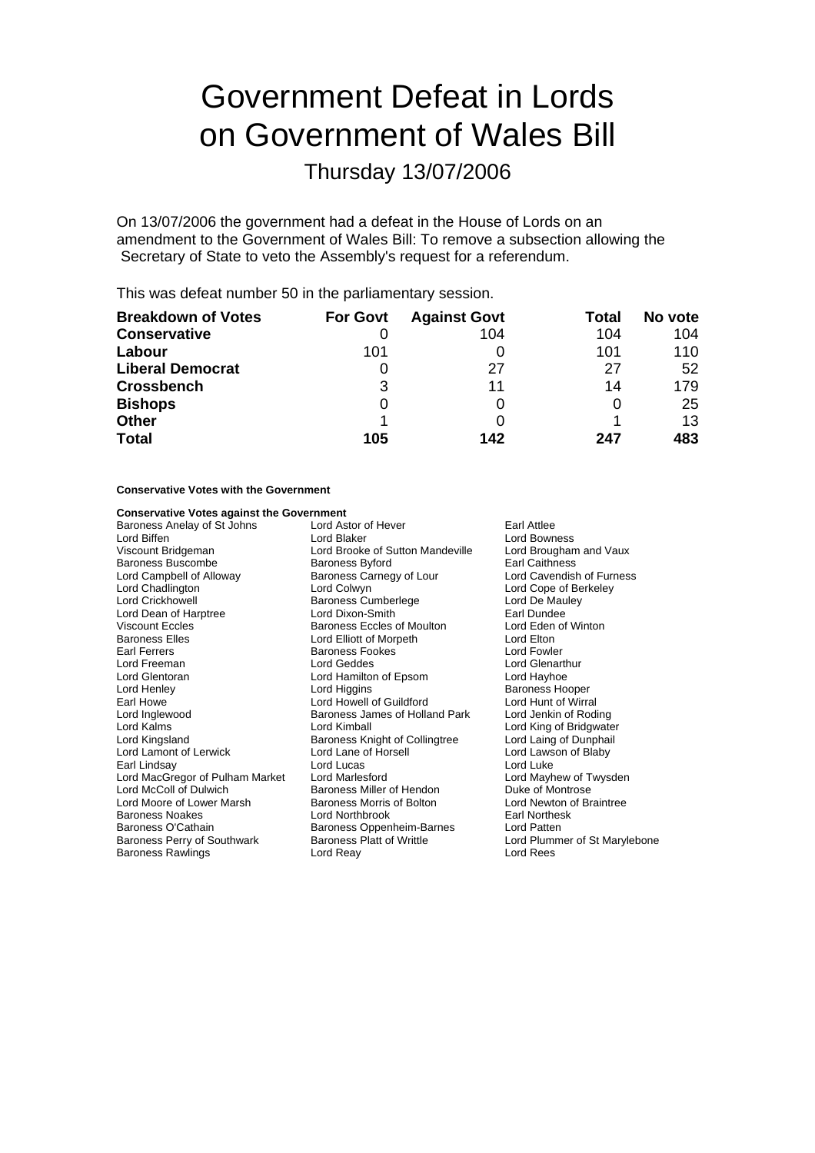# Government Defeat in Lords on Government of Wales Bill

Thursday 13/07/2006

On 13/07/2006 the government had a defeat in the House of Lords on an amendment to the Government of Wales Bill: To remove a subsection allowing the Secretary of State to veto the Assembly's request for a referendum.

This was defeat number 50 in the parliamentary session.

| <b>Breakdown of Votes</b> | <b>For Govt</b> | <b>Against Govt</b> | Total | No vote |
|---------------------------|-----------------|---------------------|-------|---------|
| <b>Conservative</b>       |                 | 104                 | 104   | 104     |
| Labour                    | 101             |                     | 101   | 110     |
| <b>Liberal Democrat</b>   |                 | 27                  | 27    | 52      |
| <b>Crossbench</b>         | 3               | 11                  | 14    | 179     |
| <b>Bishops</b>            | 0               |                     |       | 25      |
| <b>Other</b>              |                 |                     |       | 13      |
| <b>Total</b>              | 105             | 142                 | 247   | 483     |

## **Conservative Votes with the Government**

### **Conservative Votes against the Government**

| Baroness Anelay of St Johns     | Lord Astor of Hever<br>Earl Attlee       |                               |  |
|---------------------------------|------------------------------------------|-------------------------------|--|
| Lord Biffen                     | Lord Blaker<br>Lord Bowness              |                               |  |
| Viscount Bridgeman              | Lord Brooke of Sutton Mandeville         | Lord Brougham and Vaux        |  |
| Baroness Buscombe               | <b>Earl Caithness</b><br>Baroness Byford |                               |  |
| Lord Campbell of Alloway        | Baroness Carnegy of Lour                 | Lord Cavendish of Furness     |  |
| Lord Chadlington                | Lord Colwyn                              | Lord Cope of Berkeley         |  |
| Lord Crickhowell                | <b>Baroness Cumberlege</b>               | Lord De Mauley                |  |
| Lord Dean of Harptree           | Lord Dixon-Smith                         | Earl Dundee                   |  |
| Viscount Eccles                 | Baroness Eccles of Moulton               | Lord Eden of Winton           |  |
| <b>Baroness Elles</b>           | Lord Elliott of Morpeth                  | Lord Elton                    |  |
| Earl Ferrers                    | <b>Baroness Fookes</b>                   | Lord Fowler                   |  |
| Lord Freeman                    | Lord Geddes                              | <b>Lord Glenarthur</b>        |  |
| Lord Glentoran                  | Lord Hamilton of Epsom                   | Lord Hayhoe                   |  |
| Lord Henley                     | Lord Higgins                             | <b>Baroness Hooper</b>        |  |
| Earl Howe                       | Lord Howell of Guildford                 | Lord Hunt of Wirral           |  |
| Lord Inglewood                  | Baroness James of Holland Park           | Lord Jenkin of Roding         |  |
| Lord Kalms                      | Lord Kimball                             | Lord King of Bridgwater       |  |
| Lord Kingsland                  | Baroness Knight of Collingtree           | Lord Laing of Dunphail        |  |
| Lord Lamont of Lerwick          | Lord Lane of Horsell                     | Lord Lawson of Blaby          |  |
| Earl Lindsay                    | Lord Lucas                               | Lord Luke                     |  |
| Lord MacGregor of Pulham Market | Lord Marlesford                          | Lord Mayhew of Twysden        |  |
| Lord McColl of Dulwich          | Baroness Miller of Hendon                | Duke of Montrose              |  |
| Lord Moore of Lower Marsh       | Baroness Morris of Bolton                | Lord Newton of Braintree      |  |
| <b>Baroness Noakes</b>          | Lord Northbrook                          | <b>Earl Northesk</b>          |  |
| Baroness O'Cathain              | Baroness Oppenheim-Barnes                | Lord Patten                   |  |
| Baroness Perry of Southwark     | <b>Baroness Platt of Writtle</b>         | Lord Plummer of St Marylebone |  |
| Baroness Rawlings               | Lord Reay                                | Lord Rees                     |  |
|                                 |                                          |                               |  |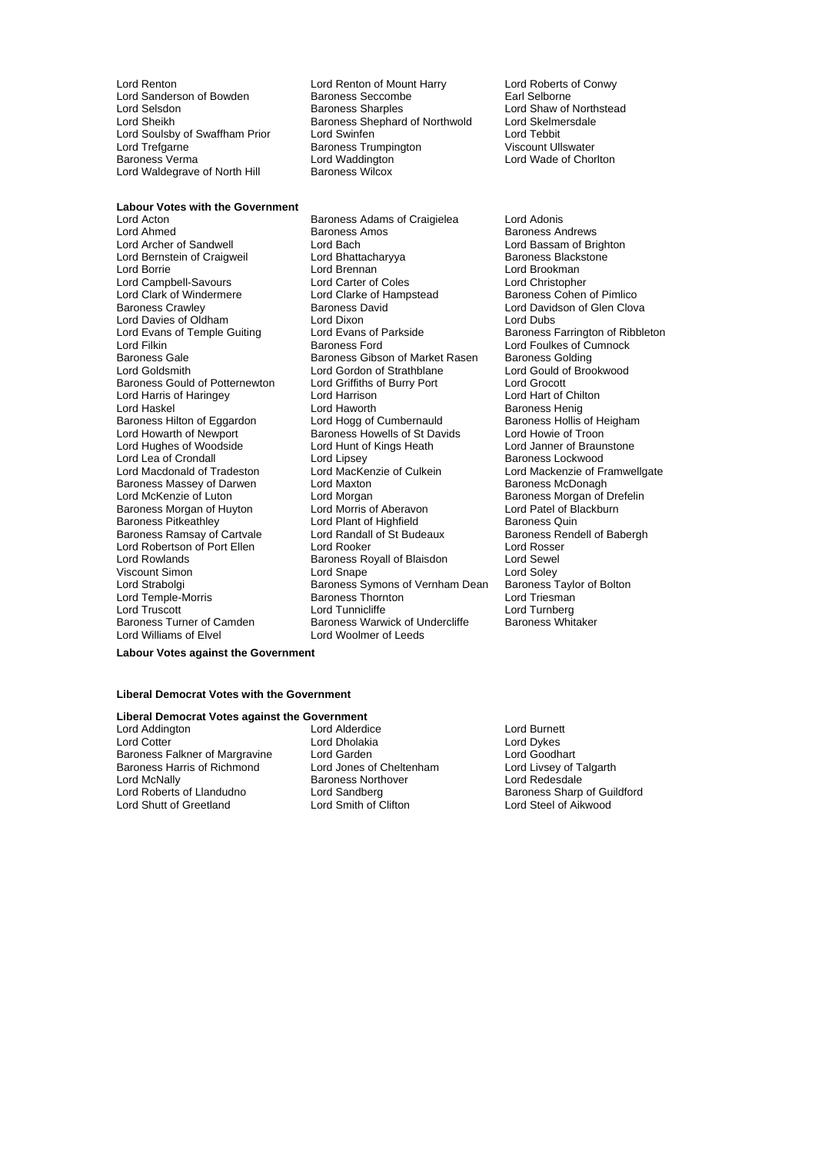Lord Sanderson of Bowden Baroness Seccomb<br>
Lord Selsdon<br>
Baroness Sharples Lord Trefgarne Baroness Trumpington<br>Baroness Verma<br>Baroness Verma Lord Waldegrave of North Hill

Lord Renton Lord Renton of Mount Harry Lord Roberts of Conwy Lord Selsdon **Baroness Sharples** Lord Shaw of Northstead<br>Lord Sheikh **Baroness Shephard of Northwold** Lord Skelmersdale Baroness Shephard of Northwold Lord Skelmer<br>Lord Swinfen Lord Tebbit Lord Soulsby of Swaffham Prior Lord Swinfen **Communist Communist Communist Communist Communist Communist Communist Communist Communist Communist Communist Communist Communist Communist Communist Communist Communist Communi** Lord Waddington<br>
Baroness Wilcox<br>
Baroness Wilcox

# **Labour Votes with the Government**<br>Lord Acton

Lord Bernstein of Craigweil Lord Bhattach<br>
Lord Borrie **Baroness Blackstones**<br>
Lord Brennan Lord Clark of Windermere Lord Clarke of Hampstead<br>
Baroness Crawley **Baroness** David Lord Davies of Oldham Lord Dixon<br>
Lord Evans of Temple Guiting Lord Evans of Parkside Lord Harris of Haringey **Lord Harrison Lord Harrison**<br>
Lord Haskel Chilton Lord Haworth Baroness Hilton of Eggardon Lord Lea of Crondall Lord Lipsey<br>
Lord Macdonald of Tradeston Lord MacKenzie of Culkein Baroness Morgan of Huyton Lord Morris of Aberavon Baroness Pitkeathley<br>
Lord Plant of Highfield Viscount Simon<br>
Lord Strabolgi<br>
Lord Strabolgi<br>
2001 - Baroness S Lord Temple-Morris

Lord Acton **Confluence Communist Confluence Confluence** Lord Adonis<br>
Baroness Amos<br>
Baroness Amos<br>
Baroness Amos Lord Ahmed **Baroness Amos** Baroness Amos<br>
Lord Archer of Sandwell **Back** Lord Bach **Baroness Andrews**<br>
Lord Archer of Sandwell Lord Bach<br>
Lord Bhattacharyya Baroness Blackstone Lord Brennan (1999)<br>Lord Carter of Coles (1999) Lord Christopher Lord Campbell-Savours Lord Carter of Coles Lord Christopher Baroness David **Baroness David State Baroness David State Baroness Crawley Baroness David Corporation**<br> **Baroness Lord David Corporation Corporation**<br>
Lord Dubs Lord Filkin **Lord Filkin Baroness Ford** Europess Ford Lord Foulkes of Cumnock<br>Baroness Gale Baroness Gibson of Market Rasen Baroness Golding Baroness Gale Baroness Gibson of Market Rasen<br>Baroness Gale Baroness Gibson of Market Rasen Baroness Gibson of Strathblane Lord Gordon of Strathblane Lord Gould of Brookwood<br>
Lord Griffiths of Burry Port Lord Grocott Baroness Gould of Potternewton Lord Griffiths of Burry Port Lord Grocott Lord Haworth **Baroness Henig**<br>
Lord Hogg of Cumbernauld **Baroness Hollis of Heigham** Lord Howarth of Newport **Baroness Howells of St Davids** Lord Howie of Troon<br>
Lord Hughes of Woodside Lord Hunt of Kings Heath Lord Janner of Braunstone Lord Hughes of Woodside Lord Hunt of Kings Heath Lord Janner of Braun<br>Lord Lea of Crondall Lord Lipsey Lord Lipsey Caroness Lockwood Baroness Massey of Darwen Lord Maxton **For a matter of the Strutter Baroness McDonagh**<br>
Lord McKenzie of Luton **Baroness McConagh**<br>
Lord Morgan of L Lord Morgan<br>
Lord Morris of Aberavon<br>
Lord Patel of Blackburn Baroness Pitkeathley **Communist Container Communist Container** Baroness Quin<br>Baroness Ramsay of Cartvale **Baroness Lord Randall of St Budeaux** Baroness Rendell of Babergh Baroness Ramsay of Cartvale Lord Randall of St Budeaux Baroness Rendell Cartvall Cord Randall of St Budeaux Baroness Rendell Cord Rosser Lord Robertson of Port Ellen Lord Rooker Lord Rosse<br>
Lord Rowlands Cord Rosse<br>
Lord Rowlands Baroness Royall of Blaisdon Lord Sewel Baroness Royall of Blaisdon<br>
Lord Soley<br>
Baroness Symons of Vernham Dean Baroness Taylor of Bolton Exaroness Symons of Vernham Dean Baroness Taylor Baroness Taylor<br>Baroness Thornton Lord Triesman Lord Truscott **Lord Tunnicliffe** Lord Tunnicliffe **Lord Tunnerg**<br>
Baroness Turner of Camden **Baroness Warwick of Undercliffe** Baroness Whitaker Baroness Turner of Camden Baroness Warwick of Undercliffe<br>
Lord Williams of Elvel<br>
Lord Woolmer of Leeds Lord Woolmer of Leeds

Baroness Farrington of Ribbleton Lord Mackenzie of Framwellgate

#### **Labour Votes against the Government**

#### **Liberal Democrat Votes with the Government**

# **Liberal Democrat Votes against the Government**

Baroness Falkner of Margravine Lord Garden Contention and Coodhart<br>
Baroness Harris of Richmond Lord Jones of Cheltenham Lord Livsey of Talgarth Baroness Harris of Richmond Lord McNally **Communist Communist Communist Communist Communist Communist Communist Communist Communist Communist Communist Communist Communist Communist Communist Communist Communist Communist Communist Communist Communis** Lord Roberts of Llandudno Lord Sandberg Baroness Sharp of Guildford

Lord Addington **Lord Alderdice** Lord Alderdice Lord Burnett<br>
Lord Cotter **Lord Burnett**<br>
Lord Cotter **Lord Burnett** Lord Cotter Lord Dholakia Lord Dykes Lord Smith of Clifton